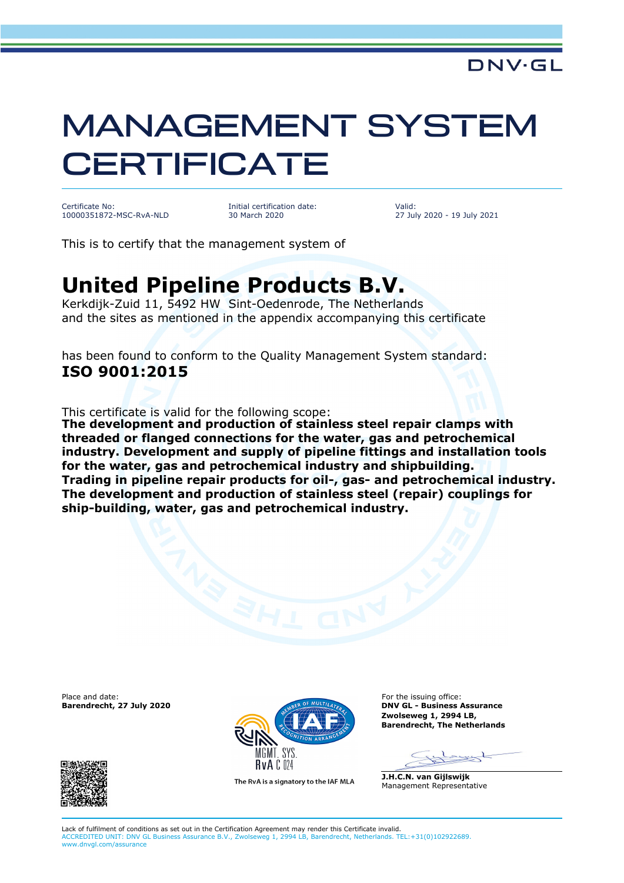## MANAGEMENT SYSTEM **CERTIFICATE**

Certificate No: 10000351872-MSC-RvA-NLD

Initial certification date: 30 March 2020

Valid: 27 July 2020 - 19 July 2021

This is to certify that the management system of

## **United Pipeline Products B.V.**

Kerkdijk-Zuid 11, 5492 HW Sint-Oedenrode, The Netherlands and the sites as mentioned in the appendix accompanying this certificate

has been found to conform to the Quality Management System standard: **ISO 9001:2015**

This certificate is valid for the following scope:

**The development and production of stainless steel repair clamps with threaded or flanged connections for the water, gas and petrochemical industry. Development and supply of pipeline fittings and installation tools for the water, gas and petrochemical industry and shipbuilding. Trading in pipeline repair products for oil-, gas- and petrochemical industry. The development and production of stainless steel (repair) couplings for ship-building, water, gas and petrochemical industry.**

Place and date: **Barendrecht, 27 July 2020**





The RvA is a signatory to the IAF MLA

For the issuing office: **DNV GL - Business Assurance Zwolseweg 1, 2994 LB, Barendrecht, The Netherlands**

rest

**J.H.C.N. van Gijlswijk** Management Representative

Lack of fulfilment of conditions as set out in the Certification Agreement may render this Certificate invalid. ACCREDITED UNIT: DNV GL Business Assurance B.V., Zwolseweg 1, 2994 LB, Barendrecht, Netherlands. TEL:+31(0)102922689. www.dnvgl.com/assurance